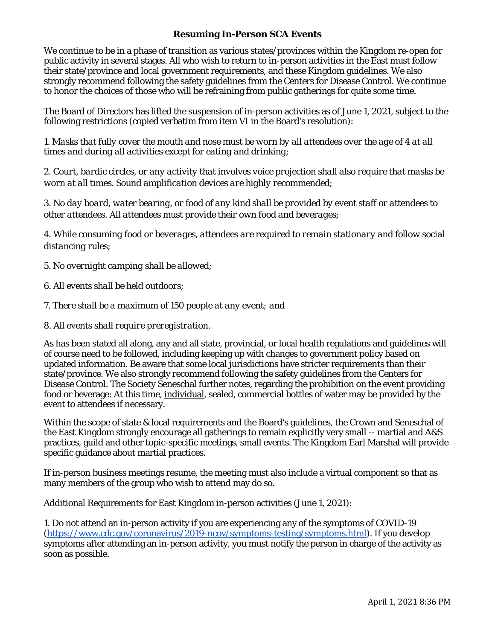## **Resuming In-Person SCA Events**

We continue to be in a phase of transition as various states/provinces within the Kingdom re-open for public activity in several stages. All who wish to return to in-person activities in the East must follow their state/province and local government requirements, and these Kingdom guidelines. We also strongly recommend following the safety guidelines from the Centers for Disease Control. We continue to honor the choices of those who will be refraining from public gatherings for quite some time.

The Board of Directors has lifted the suspension of in-person activities as of June 1, 2021, subject to the following restrictions (copied verbatim from item VI in the Board's resolution):

*1. Masks that fully cover the mouth and nose must be worn by all attendees over the age of 4 at all times and during all activities except for eating and drinking;*

*2. Court, bardic circles, or any activity that involves voice projection shall also require that masks be worn at all times. Sound amplification devices are highly recommended;*

*3. No day board, water bearing, or food of any kind shall be provided by event staff or attendees to other attendees. All attendees must provide their own food and beverages;*

*4. While consuming food or beverages, attendees are required to remain stationary and follow social distancing rules;*

*5. No overnight camping shall be allowed;*

- *6. All events shall be held outdoors;*
- *7. There shall be a maximum of 150 people at any event; and*
- *8. All events shall require preregistration.*

As has been stated all along, any and all state, provincial, or local health regulations and guidelines will of course need to be followed, including keeping up with changes to government policy based on updated information. Be aware that some local jurisdictions have stricter requirements than their state/province. We also strongly recommend following the safety guidelines from the Centers for Disease Control. The Society Seneschal further notes, regarding the prohibition on the event providing food or beverage: At this time, individual, sealed, commercial bottles of water may be provided by the event to attendees if necessary.

Within the scope of state & local requirements and the Board's guidelines, the Crown and Seneschal of the East Kingdom strongly encourage all gatherings to remain explicitly very small -- martial and A&S practices, guild and other topic-specific meetings, small events. The Kingdom Earl Marshal will provide specific guidance about martial practices.

If in-person business meetings resume, the meeting must also include a virtual component so that as many members of the group who wish to attend may do so.

Additional Requirements for East Kingdom in-person activities (June 1, 2021):

1. Do not attend an in-person activity if you are experiencing any of the symptoms of COVID-19 [\(https://www.cdc.gov/coronavirus/2019-ncov/symptoms-testing/symptoms.html\)](https://www.cdc.gov/coronavirus/2019-ncov/symptoms-testing/symptoms.html). If you develop symptoms after attending an in-person activity, you must notify the person in charge of the activity as soon as possible.